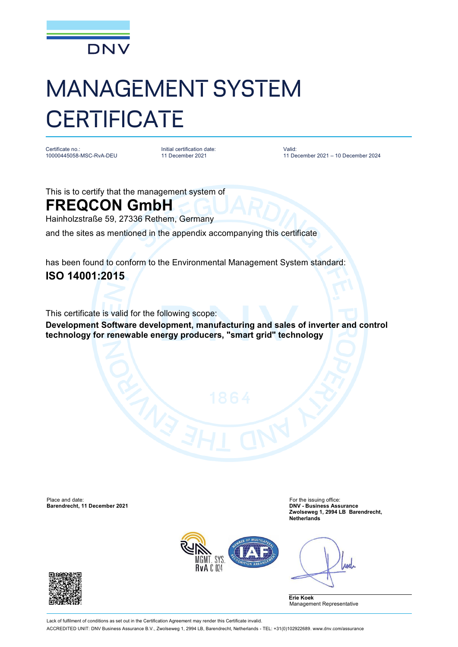

## MANAGEMENT SYSTEM **CERTIFICATE**

Certificate no.: 10000445058-MSC-RvA-DEU Initial certification date: 11 December 2021

Valid: 11 December 2021 – 10 December 2024

This is to certify that the management system of

## **FREQCON GmbH**

Hainholzstraße 59, 27336 Rethem, Germany

and the sites as mentioned in the appendix accompanying this certificate

has been found to conform to the Environmental Management System standard: **ISO 14001:2015**

This certificate is valid for the following scope:

**Development Software development, manufacturing and sales of inverter and control technology for renewable energy producers, "smart grid" technology**

Place and date: For the issuing office: For the issuing office: **Barendrecht, 11 December 2021** 

**Zwolseweg 1, 2994 LB Barendrecht, Netherlands**



Anel

**Erie Koek** Management Representative



Lack of fulfilment of conditions as set out in the Certification Agreement may render this Certificate invalid. ACCREDITED UNIT: DNV Business Assurance B.V., Zwolseweg 1, 2994 LB, Barendrecht, Netherlands - TEL: +31(0)102922689. [www.dnv.com/assurance](http://www.dnv.com/assurance)